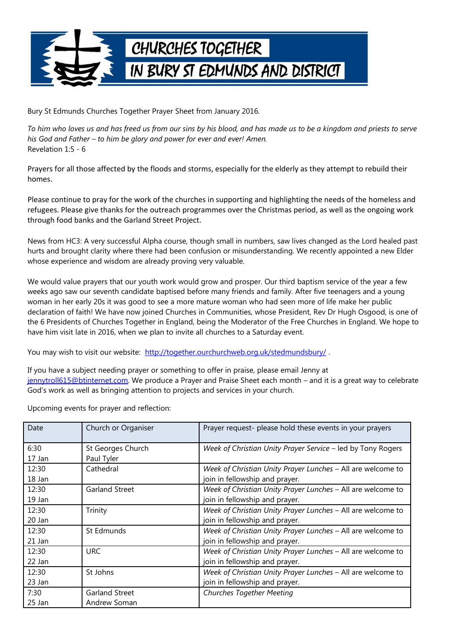

Bury St Edmunds Churches Together Prayer Sheet from January 2016.

*To him who loves us and has freed us from our sins by his blood, and has made us to be a kingdom and priests to serve his God and Father – to him be glory and power for ever and ever! Amen.* Revelation 1:5 - 6

Prayers for all those affected by the floods and storms, especially for the elderly as they attempt to rebuild their homes.

Please continue to pray for the work of the churches in supporting and highlighting the needs of the homeless and refugees. Please give thanks for the outreach programmes over the Christmas period, as well as the ongoing work through food banks and the Garland Street Project.

News from HC3: A very successful Alpha course, though small in numbers, saw lives changed as the Lord healed past hurts and brought clarity where there had been confusion or misunderstanding. We recently appointed a new Elder whose experience and wisdom are already proving very valuable.

We would value prayers that our youth work would grow and prosper. Our third baptism service of the year a few weeks ago saw our seventh candidate baptised before many friends and family. After five teenagers and a young woman in her early 20s it was good to see a more mature woman who had seen more of life make her public declaration of faith! We have now joined Churches in Communities, whose President, Rev Dr Hugh Osgood, is one of the 6 Presidents of Churches Together in England, being the Moderator of the Free Churches in England. We hope to have him visit late in 2016, when we plan to invite all churches to a Saturday event.

You may wish to visit our website: http://together.ourchurchweb.org.uk/stedmundsbury/.

If you have a subject needing prayer or something to offer in praise, please email Jenny at [jennytroll615@btinternet.com.](mailto:jennytroll615@btinternet.com) We produce a Prayer and Praise Sheet each month – and it is a great way to celebrate God's work as well as bringing attention to projects and services in your church.

Upcoming events for prayer and reflection:

| Date   | Church or Organiser | Prayer request- please hold these events in your prayers    |
|--------|---------------------|-------------------------------------------------------------|
| 6:30   | St Georges Church   | Week of Christian Unity Prayer Service - led by Tony Rogers |
| 17 Jan | Paul Tyler          |                                                             |
| 12:30  | Cathedral           | Week of Christian Unity Prayer Lunches - All are welcome to |
| 18 Jan |                     | join in fellowship and prayer.                              |
| 12:30  | Garland Street      | Week of Christian Unity Prayer Lunches - All are welcome to |
| 19 Jan |                     | join in fellowship and prayer.                              |
| 12:30  | Trinity             | Week of Christian Unity Prayer Lunches - All are welcome to |
| 20 Jan |                     | join in fellowship and prayer.                              |
| 12:30  | St Edmunds          | Week of Christian Unity Prayer Lunches - All are welcome to |
| 21 Jan |                     | join in fellowship and prayer.                              |
| 12:30  | <b>URC</b>          | Week of Christian Unity Prayer Lunches - All are welcome to |
| 22 Jan |                     | join in fellowship and prayer.                              |
| 12:30  | St Johns            | Week of Christian Unity Prayer Lunches - All are welcome to |
| 23 Jan |                     | join in fellowship and prayer.                              |
| 7:30   | Garland Street      | <b>Churches Together Meeting</b>                            |
| 25 Jan | Andrew Soman        |                                                             |